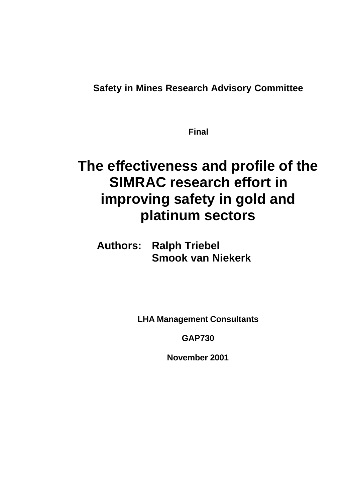**Safety in Mines Research Advisory Committee**

**Final**

# **The effectiveness and profile of the SIMRAC research effort in improving safety in gold and platinum sectors**

**Authors: Ralph Triebel Smook van Niekerk**

**LHA Management Consultants**

**GAP730**

**November 2001**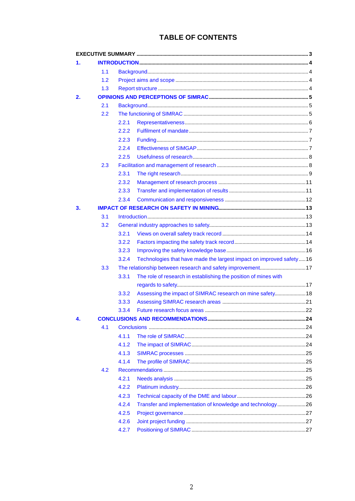### **TABLE OF CONTENTS**

| 1. |     |                                                             |                                                                     |  |
|----|-----|-------------------------------------------------------------|---------------------------------------------------------------------|--|
|    | 1.1 |                                                             |                                                                     |  |
|    | 1.2 |                                                             |                                                                     |  |
|    | 1.3 |                                                             |                                                                     |  |
| 2. |     |                                                             |                                                                     |  |
|    | 2.1 |                                                             |                                                                     |  |
|    | 2.2 |                                                             |                                                                     |  |
|    |     | 2.2.1                                                       |                                                                     |  |
|    |     | 2.2.2                                                       |                                                                     |  |
|    |     | 2.2.3                                                       |                                                                     |  |
|    |     | 2.2.4                                                       |                                                                     |  |
|    |     | 2.2.5                                                       |                                                                     |  |
|    | 2.3 |                                                             |                                                                     |  |
|    |     | 2.3.1                                                       |                                                                     |  |
|    |     | 2.3.2                                                       |                                                                     |  |
|    |     | 2.3.3                                                       |                                                                     |  |
|    |     | 2.3.4                                                       |                                                                     |  |
| 3. |     |                                                             |                                                                     |  |
|    | 3.1 |                                                             |                                                                     |  |
|    | 3.2 |                                                             |                                                                     |  |
|    |     | 3.2.1                                                       |                                                                     |  |
|    |     | 3.2.2                                                       |                                                                     |  |
|    |     | 3.2.3                                                       |                                                                     |  |
|    |     | 3.2.4                                                       | Technologies that have made the largest impact on improved safety16 |  |
|    | 3.3 | The relationship between research and safety improvement 17 |                                                                     |  |
|    |     | 3.3.1                                                       | The role of research in establishing the position of mines with     |  |
|    |     |                                                             |                                                                     |  |
|    |     | 3.3.2                                                       | Assessing the impact of SIMRAC research on mine safety 18           |  |
|    |     | 3.3.3                                                       |                                                                     |  |
|    |     | 3.3.4                                                       |                                                                     |  |
| 4. |     |                                                             |                                                                     |  |
|    | 4.1 |                                                             |                                                                     |  |
|    |     | 4.1.1                                                       |                                                                     |  |
|    |     | 4.1.2                                                       |                                                                     |  |
|    |     | 4.1.3                                                       |                                                                     |  |
|    |     | 4.1.4                                                       |                                                                     |  |
|    | 4.2 |                                                             |                                                                     |  |
|    |     | 4.2.1                                                       |                                                                     |  |
|    |     | 4.2.2                                                       |                                                                     |  |
|    |     | 4.2.3                                                       |                                                                     |  |
|    |     | 4.2.4                                                       | Transfer and implementation of knowledge and technology26           |  |
|    |     | 4.2.5                                                       |                                                                     |  |
|    |     | 4.2.6                                                       |                                                                     |  |
|    |     | 4.2.7                                                       |                                                                     |  |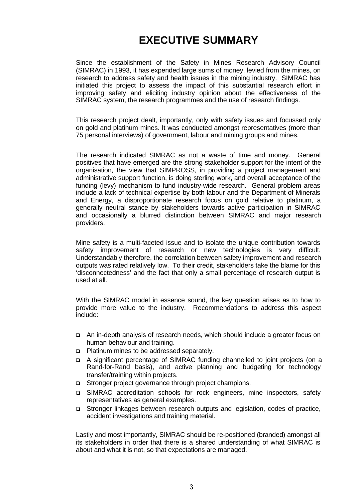## **EXECUTIVE SUMMARY**

Since the establishment of the Safety in Mines Research Advisory Council (SIMRAC) in 1993, it has expended large sums of money, levied from the mines, on research to address safety and health issues in the mining industry. SIMRAC has initiated this project to assess the impact of this substantial research effort in improving safety and eliciting industry opinion about the effectiveness of the SIMRAC system, the research programmes and the use of research findings.

This research project dealt, importantly, only with safety issues and focussed only on gold and platinum mines. It was conducted amongst representatives (more than 75 personal interviews) of government, labour and mining groups and mines.

The research indicated SIMRAC as not a waste of time and money. General positives that have emerged are the strong stakeholder support for the intent of the organisation, the view that SIMPROSS, in providing a project management and administrative support function, is doing sterling work, and overall acceptance of the funding (levy) mechanism to fund industry-wide research. General problem areas include a lack of technical expertise by both labour and the Department of Minerals and Energy, a disproportionate research focus on gold relative to platinum, a generally neutral stance by stakeholders towards active participation in SIMRAC and occasionally a blurred distinction between SIMRAC and major research providers.

Mine safety is a multi-faceted issue and to isolate the unique contribution towards safety improvement of research or new technologies is very difficult. Understandably therefore, the correlation between safety improvement and research outputs was rated relatively low. To their credit, stakeholders take the blame for this 'disconnectedness' and the fact that only a small percentage of research output is used at all.

With the SIMRAC model in essence sound, the key question arises as to how to provide more value to the industry. Recommendations to address this aspect include:

- q An in-depth analysis of research needs, which should include a greater focus on human behaviour and training.
- □ Platinum mines to be addressed separately.
- q A significant percentage of SIMRAC funding channelled to joint projects (on a Rand-for-Rand basis), and active planning and budgeting for technology transfer/training within projects.
- q Stronger project governance through project champions.
- q SIMRAC accreditation schools for rock engineers, mine inspectors, safety representatives as general examples.
- q Stronger linkages between research outputs and legislation, codes of practice, accident investigations and training material.

Lastly and most importantly, SIMRAC should be re-positioned (branded) amongst all its stakeholders in order that there is a shared understanding of what SIMRAC is about and what it is not, so that expectations are managed.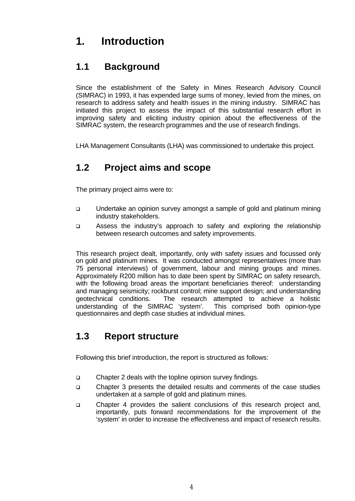## **1. Introduction**

### **1.1 Background**

Since the establishment of the Safety in Mines Research Advisory Council (SIMRAC) in 1993, it has expended large sums of money, levied from the mines, on research to address safety and health issues in the mining industry. SIMRAC has initiated this project to assess the impact of this substantial research effort in improving safety and eliciting industry opinion about the effectiveness of the SIMRAC system, the research programmes and the use of research findings.

LHA Management Consultants (LHA) was commissioned to undertake this project.

## **1.2 Project aims and scope**

The primary project aims were to:

- q Undertake an opinion survey amongst a sample of gold and platinum mining industry stakeholders.
- q Assess the industry's approach to safety and exploring the relationship between research outcomes and safety improvements.

This research project dealt, importantly, only with safety issues and focussed only on gold and platinum mines. It was conducted amongst representatives (more than 75 personal interviews) of government, labour and mining groups and mines. Approximately R200 million has to date been spent by SIMRAC on safety research, with the following broad areas the important beneficiaries thereof: understanding and managing seismicity; rockburst control; mine support design; and understanding geotechnical conditions. The research attempted to achieve a holistic understanding of the SIMRAC 'system'. This comprised both opinion-type questionnaires and depth case studies at individual mines.

### **1.3 Report structure**

Following this brief introduction, the report is structured as follows:

- q Chapter 2 deals with the topline opinion survey findings.
- q Chapter 3 presents the detailed results and comments of the case studies undertaken at a sample of gold and platinum mines.
- q Chapter 4 provides the salient conclusions of this research project and, importantly, puts forward recommendations for the improvement of the 'system' in order to increase the effectiveness and impact of research results.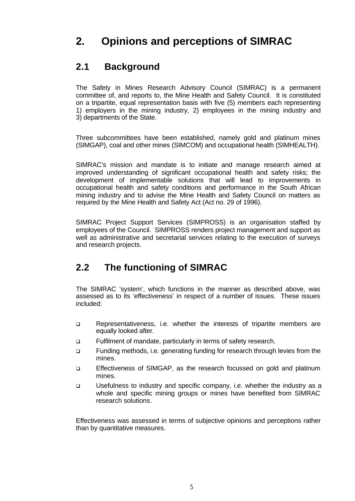## **2. Opinions and perceptions of SIMRAC**

### **2.1 Background**

The Safety in Mines Research Advisory Council (SIMRAC) is a permanent committee of, and reports to, the Mine Health and Safety Council. It is constituted on a tripartite, equal representation basis with five (5) members each representing 1) employers in the mining industry, 2) employees in the mining industry and 3) departments of the State.

Three subcommittees have been established, namely gold and platinum mines (SIMGAP), coal and other mines (SIMCOM) and occupational health (SIMHEALTH).

SIMRAC's mission and mandate is to initiate and manage research aimed at improved understanding of significant occupational health and safety risks; the development of implementable solutions that will lead to improvements in occupational health and safety conditions and performance in the South African mining industry and to advise the Mine Health and Safety Council on matters as required by the Mine Health and Safety Act (Act no. 29 of 1996).

SIMRAC Project Support Services (SIMPROSS) is an organisation staffed by employees of the Council. SIMPROSS renders project management and support as well as administrative and secretarial services relating to the execution of surveys and research projects.

### **2.2 The functioning of SIMRAC**

The SIMRAC 'system', which functions in the manner as described above, was assessed as to its 'effectiveness' in respect of a number of issues. These issues included:

- q Representativeness, i.e. whether the interests of tripartite members are equally looked after.
- q Fulfilment of mandate, particularly in terms of safety research.
- q Funding methods, i.e. generating funding for research through levies from the mines.
- q Effectiveness of SIMGAP, as the research focussed on gold and platinum mines.
- q Usefulness to industry and specific company, i.e. whether the industry as a whole and specific mining groups or mines have benefited from SIMRAC research solutions.

Effectiveness was assessed in terms of subjective opinions and perceptions rather than by quantitative measures.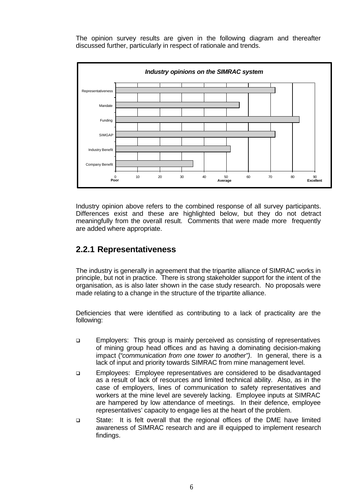The opinion survey results are given in the following diagram and thereafter discussed further, particularly in respect of rationale and trends.



Industry opinion above refers to the combined response of all survey participants. Differences exist and these are highlighted below, but they do not detract meaningfully from the overall result. Comments that were made more frequently are added where appropriate.

### **2.2.1 Representativeness**

The industry is generally in agreement that the tripartite alliance of SIMRAC works in principle, but not in practice. There is strong stakeholder support for the intent of the organisation, as is also later shown in the case study research. No proposals were made relating to a change in the structure of the tripartite alliance.

Deficiencies that were identified as contributing to a lack of practicality are the following:

- q Employers: This group is mainly perceived as consisting of representatives of mining group head offices and as having a dominating decision-making impact (*"communication from one tower to another")*. In general, there is a lack of input and priority towards SIMRAC from mine management level.
- q Employees: Employee representatives are considered to be disadvantaged as a result of lack of resources and limited technical ability. Also, as in the case of employers, lines of communication to safety representatives and workers at the mine level are severely lacking. Employee inputs at SIMRAC are hampered by low attendance of meetings. In their defence, employee representatives' capacity to engage lies at the heart of the problem.
- q State: It is felt overall that the regional offices of the DME have limited awareness of SIMRAC research and are ill equipped to implement research findings.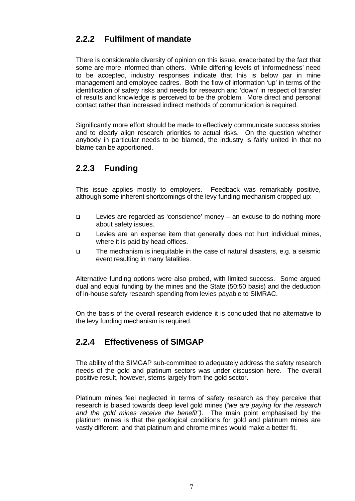### **2.2.2 Fulfilment of mandate**

There is considerable diversity of opinion on this issue, exacerbated by the fact that some are more informed than others. While differing levels of 'informedness' need to be accepted, industry responses indicate that this is below par in mine management and employee cadres. Both the flow of information 'up' in terms of the identification of safety risks and needs for research and 'down' in respect of transfer of results and knowledge is perceived to be the problem. More direct and personal contact rather than increased indirect methods of communication is required.

Significantly more effort should be made to effectively communicate success stories and to clearly align research priorities to actual risks. On the question whether anybody in particular needs to be blamed, the industry is fairly united in that no blame can be apportioned.

### **2.2.3 Funding**

This issue applies mostly to employers. Feedback was remarkably positive, although some inherent shortcomings of the levy funding mechanism cropped up:

- q Levies are regarded as 'conscience' money an excuse to do nothing more about safety issues.
- q Levies are an expense item that generally does not hurt individual mines, where it is paid by head offices.
- q The mechanism is inequitable in the case of natural disasters, e.g. a seismic event resulting in many fatalities.

Alternative funding options were also probed, with limited success. Some argued dual and equal funding by the mines and the State (50:50 basis) and the deduction of in-house safety research spending from levies payable to SIMRAC.

On the basis of the overall research evidence it is concluded that no alternative to the levy funding mechanism is required.

### **2.2.4 Effectiveness of SIMGAP**

The ability of the SIMGAP sub-committee to adequately address the safety research needs of the gold and platinum sectors was under discussion here. The overall positive result, however, stems largely from the gold sector.

Platinum mines feel neglected in terms of safety research as they perceive that research is biased towards deep level gold mines (*"we are paying for the research and the gold mines receive the benefit")*. The main point emphasised by the platinum mines is that the geological conditions for gold and platinum mines are vastly different, and that platinum and chrome mines would make a better fit.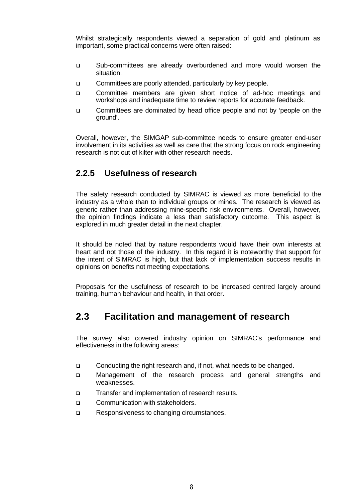Whilst strategically respondents viewed a separation of gold and platinum as important, some practical concerns were often raised:

- q Sub-committees are already overburdened and more would worsen the situation.
- □ Committees are poorly attended, particularly by key people.
- q Committee members are given short notice of ad-hoc meetings and workshops and inadequate time to review reports for accurate feedback.
- q Committees are dominated by head office people and not by 'people on the ground'.

Overall, however, the SIMGAP sub-committee needs to ensure greater end-user involvement in its activities as well as care that the strong focus on rock engineering research is not out of kilter with other research needs.

### **2.2.5 Usefulness of research**

The safety research conducted by SIMRAC is viewed as more beneficial to the industry as a whole than to individual groups or mines. The research is viewed as generic rather than addressing mine-specific risk environments. Overall, however, the opinion findings indicate a less than satisfactory outcome. This aspect is explored in much greater detail in the next chapter.

It should be noted that by nature respondents would have their own interests at heart and not those of the industry. In this regard it is noteworthy that support for the intent of SIMRAC is high, but that lack of implementation success results in opinions on benefits not meeting expectations.

Proposals for the usefulness of research to be increased centred largely around training, human behaviour and health, in that order.

### **2.3 Facilitation and management of research**

The survey also covered industry opinion on SIMRAC's performance and effectiveness in the following areas:

- q Conducting the right research and, if not, what needs to be changed.
- q Management of the research process and general strengths and weaknesses.
- q Transfer and implementation of research results.
- q Communication with stakeholders.
- q Responsiveness to changing circumstances.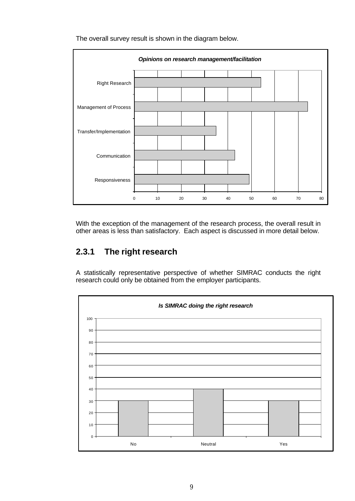

The overall survey result is shown in the diagram below.

With the exception of the management of the research process, the overall result in other areas is less than satisfactory. Each aspect is discussed in more detail below.

### **2.3.1 The right research**

A statistically representative perspective of whether SIMRAC conducts the right research could only be obtained from the employer participants.

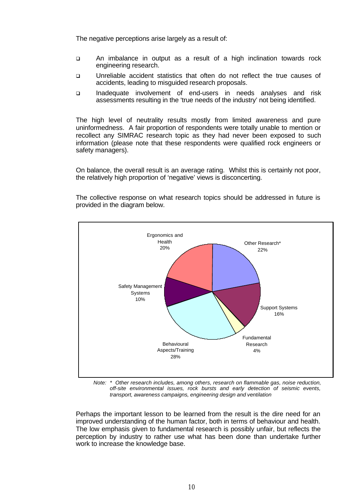The negative perceptions arise largely as a result of:

- q An imbalance in output as a result of a high inclination towards rock engineering research.
- q Unreliable accident statistics that often do not reflect the true causes of accidents, leading to misguided research proposals.
- q Inadequate involvement of end-users in needs analyses and risk assessments resulting in the 'true needs of the industry' not being identified.

The high level of neutrality results mostly from limited awareness and pure uninformedness. A fair proportion of respondents were totally unable to mention or recollect any SIMRAC research topic as they had never been exposed to such information (please note that these respondents were qualified rock engineers or safety managers).

On balance, the overall result is an average rating. Whilst this is certainly not poor, the relatively high proportion of 'negative' views is disconcerting.

The collective response on what research topics should be addressed in future is provided in the diagram below.



 *Note: \* Other research includes, among others, research on flammable gas, noise reduction, off-site environmental issues, rock bursts and early detection of seismic events, transport, awareness campaigns, engineering design and ventilation*

Perhaps the important lesson to be learned from the result is the dire need for an improved understanding of the human factor, both in terms of behaviour and health. The low emphasis given to fundamental research is possibly unfair, but reflects the perception by industry to rather use what has been done than undertake further work to increase the knowledge base.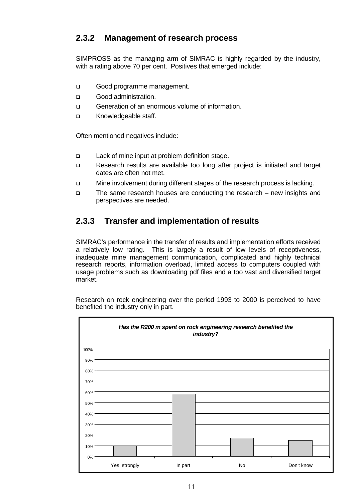### **2.3.2 Management of research process**

SIMPROSS as the managing arm of SIMRAC is highly regarded by the industry, with a rating above 70 per cent. Positives that emerged include:

- □ Good programme management.
- q Good administration.
- □ Generation of an enormous volume of information.
- q Knowledgeable staff.

Often mentioned negatives include:

- q Lack of mine input at problem definition stage.
- q Research results are available too long after project is initiated and target dates are often not met.
- q Mine involvement during different stages of the research process is lacking.
- q The same research houses are conducting the research new insights and perspectives are needed.

### **2.3.3 Transfer and implementation of results**

SIMRAC's performance in the transfer of results and implementation efforts received a relatively low rating. This is largely a result of low levels of receptiveness, inadequate mine management communication, complicated and highly technical research reports, information overload, limited access to computers coupled with usage problems such as downloading pdf files and a too vast and diversified target market.

Research on rock engineering over the period 1993 to 2000 is perceived to have benefited the industry only in part.

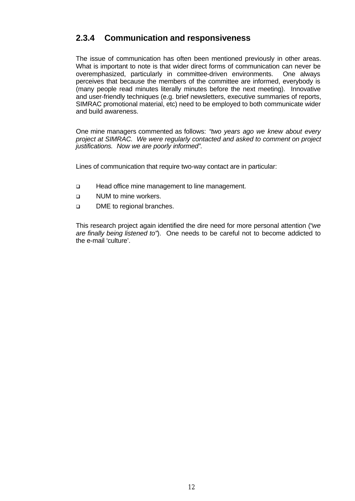### **2.3.4 Communication and responsiveness**

The issue of communication has often been mentioned previously in other areas. What is important to note is that wider direct forms of communication can never be overemphasized, particularly in committee-driven environments. One always perceives that because the members of the committee are informed, everybody is (many people read minutes literally minutes before the next meeting). Innovative and user-friendly techniques (e.g. brief newsletters, executive summaries of reports, SIMRAC promotional material, etc) need to be employed to both communicate wider and build awareness.

One mine managers commented as follows: *"two years ago we knew about every project at SIMRAC. We were regularly contacted and asked to comment on project justifications. Now we are poorly informed".*

Lines of communication that require two-way contact are in particular:

- q Head office mine management to line management.
- **Q** NUM to mine workers.
- **p** DME to regional branches.

This research project again identified the dire need for more personal attention (*"we are finally being listened to"*). One needs to be careful not to become addicted to the e-mail 'culture'.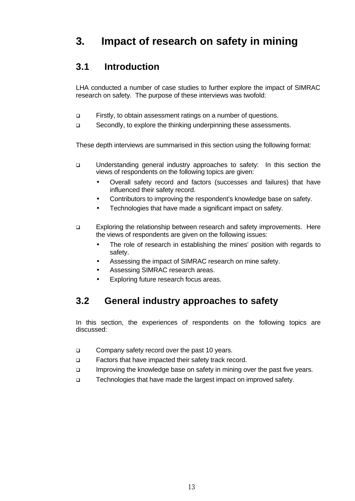## **3. Impact of research on safety in mining**

### **3.1 Introduction**

LHA conducted a number of case studies to further explore the impact of SIMRAC research on safety. The purpose of these interviews was twofold:

- q Firstly, to obtain assessment ratings on a number of questions.
- q Secondly, to explore the thinking underpinning these assessments.

These depth interviews are summarised in this section using the following format:

- q Understanding general industry approaches to safety: In this section the views of respondents on the following topics are given:
	- Overall safety record and factors (successes and failures) that have influenced their safety record.
	- Contributors to improving the respondent's knowledge base on safety.
	- Technologies that have made a significant impact on safety.
- q Exploring the relationship between research and safety improvements. Here the views of respondents are given on the following issues:
	- The role of research in establishing the mines' position with regards to safety.
	- Assessing the impact of SIMRAC research on mine safety.
	- Assessing SIMRAC research areas.
	- Exploring future research focus areas.

### **3.2 General industry approaches to safety**

In this section, the experiences of respondents on the following topics are discussed:

- □ Company safety record over the past 10 years.
- q Factors that have impacted their safety track record.
- □ Improving the knowledge base on safety in mining over the past five years.
- □ Technologies that have made the largest impact on improved safety.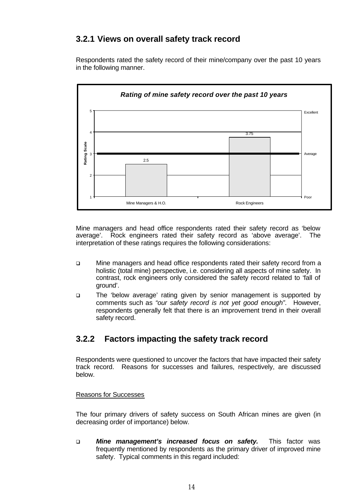### **3.2.1 Views on overall safety track record**

Respondents rated the safety record of their mine/company over the past 10 years in the following manner.



Mine managers and head office respondents rated their safety record as 'below average'. Rock engineers rated their safety record as 'above average'. The interpretation of these ratings requires the following considerations:

- q Mine managers and head office respondents rated their safety record from a holistic (total mine) perspective, i.e. considering all aspects of mine safety. In contrast, rock engineers only considered the safety record related to 'fall of ground'.
- q The 'below average' rating given by senior management is supported by comments such as *"our safety record is not yet good enough"*. However, respondents generally felt that there is an improvement trend in their overall safety record.

### **3.2.2 Factors impacting the safety track record**

Respondents were questioned to uncover the factors that have impacted their safety track record. Reasons for successes and failures, respectively, are discussed below.

#### Reasons for Successes

The four primary drivers of safety success on South African mines are given (in decreasing order of importance) below.

q *Mine management's increased focus on safety.* This factor was frequently mentioned by respondents as the primary driver of improved mine safety. Typical comments in this regard included: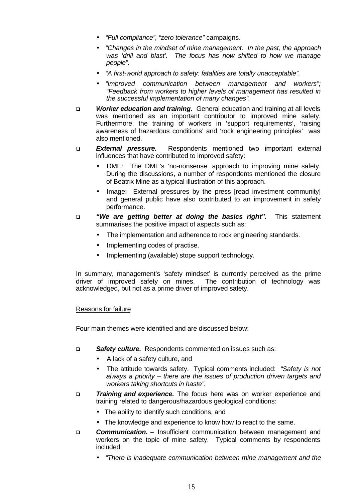- *"Full compliance", "zero tolerance"* campaigns.
- *"Changes in the mindset of mine management. In the past, the approach was 'drill and blast'. The focus has now shifted to how we manage people".*
- *"A first-world approach to safety: fatalities are totally unacceptable".*
- *"Improved communication between management and workers"; "Feedback from workers to higher levels of management has resulted in the successful implementation of many changes".*
- q *Worker education and training.* General education and training at all levels was mentioned as an important contributor to improved mine safety. Furthermore, the training of workers in 'support requirements', 'raising awareness of hazardous conditions' and 'rock engineering principles' was also mentioned.
- q *External pressure.* Respondents mentioned two important external influences that have contributed to improved safety:
	- DME: The DME's 'no-nonsense' approach to improving mine safety. During the discussions, a number of respondents mentioned the closure of Beatrix Mine as a typical illustration of this approach.
	- Image: External pressures by the press [read investment community] and general public have also contributed to an improvement in safety performance.
- q *"We are getting better at doing the basics right".* This statement summarises the positive impact of aspects such as:
	- The implementation and adherence to rock engineering standards.
	- Implementing codes of practise.
	- Implementing (available) stope support technology.

In summary, management's 'safety mindset' is currently perceived as the prime driver of improved safety on mines. The contribution of technology was acknowledged, but not as a prime driver of improved safety.

#### Reasons for failure

Four main themes were identified and are discussed below:

- q *Safety culture.* Respondents commented on issues such as:
	- A lack of a safety culture, and
	- The attitude towards safety. Typical comments included: *"Safety is not always a priority – there are the issues of production driven targets and workers taking shortcuts in haste".*
- **Training and experience.** The focus here was on worker experience and training related to dangerous/hazardous geological conditions:
	- The ability to identify such conditions, and
	- The knowledge and experience to know how to react to the same.
- q *Communication.* Insufficient communication between management and workers on the topic of mine safety. Typical comments by respondents included:
	- *"There is inadequate communication between mine management and the*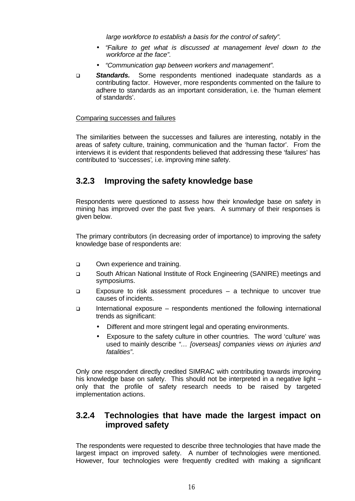*large workforce to establish a basis for the control of safety".*

- *"Failure to get what is discussed at management level down to the workforce at the face".*
- *"Communication gap between workers and management".*
- q *Standards.* Some respondents mentioned inadequate standards as a contributing factor. However, more respondents commented on the failure to adhere to standards as an important consideration, i.e. the 'human element of standards'.

#### Comparing successes and failures

The similarities between the successes and failures are interesting, notably in the areas of safety culture, training, communication and the 'human factor'. From the interviews it is evident that respondents believed that addressing these 'failures' has contributed to 'successes'*,* i.e. improving mine safety.

### **3.2.3 Improving the safety knowledge base**

Respondents were questioned to assess how their knowledge base on safety in mining has improved over the past five years. A summary of their responses is given below.

The primary contributors (in decreasing order of importance) to improving the safety knowledge base of respondents are:

- **Q Own experience and training.**
- q South African National Institute of Rock Engineering (SANIRE) meetings and symposiums.
- q Exposure to risk assessment procedures a technique to uncover true causes of incidents.
- q International exposure respondents mentioned the following international trends as significant:
	- Different and more stringent legal and operating environments.
	- Exposure to the safety culture in other countries. The word 'culture' was used to mainly describe *"… [overseas] companies views on injuries and fatalities"*.

Only one respondent directly credited SIMRAC with contributing towards improving his knowledge base on safety. This should not be interpreted in a negative light only that the profile of safety research needs to be raised by targeted implementation actions.

### **3.2.4 Technologies that have made the largest impact on improved safety**

The respondents were requested to describe three technologies that have made the largest impact on improved safety. A number of technologies were mentioned. However, four technologies were frequently credited with making a significant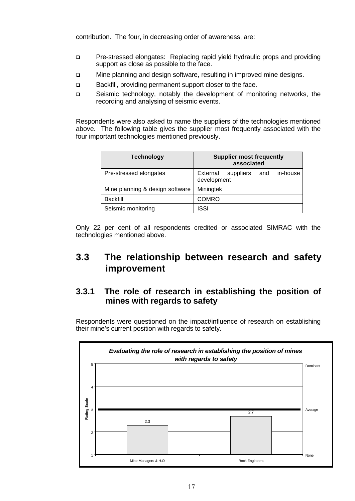contribution. The four, in decreasing order of awareness, are:

- q Pre-stressed elongates: Replacing rapid yield hydraulic props and providing support as close as possible to the face.
- □ Mine planning and design software, resulting in improved mine designs.
- q Backfill, providing permanent support closer to the face.
- q Seismic technology, notably the development of monitoring networks, the recording and analysing of seismic events.

Respondents were also asked to name the suppliers of the technologies mentioned above. The following table gives the supplier most frequently associated with the four important technologies mentioned previously.

| <b>Technology</b>               | <b>Supplier most frequently</b><br>associated           |
|---------------------------------|---------------------------------------------------------|
| Pre-stressed elongates          | in-house<br>External<br>suppliers<br>and<br>development |
| Mine planning & design software | Miningtek                                               |
| <b>Backfill</b>                 | COMRO                                                   |
| Seismic monitoring              | ISSI                                                    |

Only 22 per cent of all respondents credited or associated SIMRAC with the technologies mentioned above.

### **3.3 The relationship between research and safety improvement**

### **3.3.1 The role of research in establishing the position of mines with regards to safety**

Respondents were questioned on the impact/influence of research on establishing their mine's current position with regards to safety.

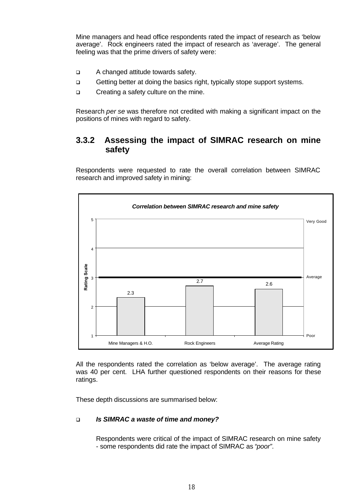Mine managers and head office respondents rated the impact of research as 'below average'. Rock engineers rated the impact of research as 'average'. The general feeling was that the prime drivers of safety were:

- □ A changed attitude towards safety.
- q Getting better at doing the basics right, typically stope support systems.
- □ Creating a safety culture on the mine.

Research *per se* was therefore not credited with making a significant impact on the positions of mines with regard to safety.

### **3.3.2 Assessing the impact of SIMRAC research on mine safety**

Respondents were requested to rate the overall correlation between SIMRAC research and improved safety in mining:



All the respondents rated the correlation as 'below average'. The average rating was 40 per cent. LHA further questioned respondents on their reasons for these ratings.

These depth discussions are summarised below:

#### q *Is SIMRAC a waste of time and money?*

Respondents were critical of the impact of SIMRAC research on mine safety - some respondents did rate the impact of SIMRAC as *"poor"*.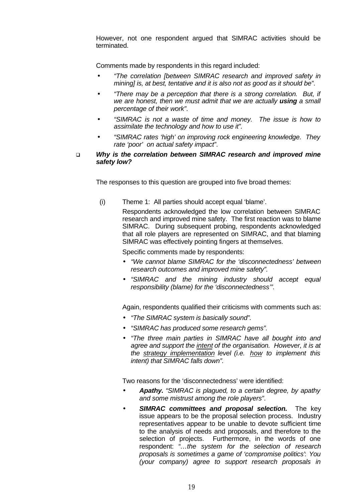However, not one respondent argued that SIMRAC activities should be terminated.

Comments made by respondents in this regard included:

- *"The correlation [between SIMRAC research and improved safety in mining] is, at best, tentative and it is also not as good as it should be"*.
- *"There may be a perception that there is a strong correlation. But, if we are honest, then we must admit that we are actually using a small percentage of their work"*.
- *"SIMRAC is not a waste of time and money. The issue is how to assimilate the technology and how to use it".*
- *"SIMRAC rates 'high' on improving rock engineering knowledge. They rate 'poor' on actual safety impact"*.
- q *Why is the correlation between SIMRAC research and improved mine safety low?*

The responses to this question are grouped into five broad themes:

(i) Theme 1: All parties should accept equal 'blame'.

Respondents acknowledged the low correlation between SIMRAC research and improved mine safety. The first reaction was to blame SIMRAC. During subsequent probing, respondents acknowledged that all role players are represented on SIMRAC, and that blaming SIMRAC was effectively pointing fingers at themselves.

Specific comments made by respondents:

- *"We cannot blame SIMRAC for the 'disconnectedness' between research outcomes and improved mine safety".*
- *"SIMRAC and the mining industry should accept equal responsibility (blame) for the 'disconnectedness'".*

Again, respondents qualified their criticisms with comments such as:

- *"The SIMRAC system is basically sound".*
- *"SIMRAC has produced some research gems".*
- *"The three main parties in SIMRAC have all bought into and agree and support the intent of the organisation. However, it is at the strategy implementation level (i.e. how to implement this intent) that SIMRAC falls down".*

Two reasons for the 'disconnectedness' were identified:

- *Apathy. "SIMRAC is plagued, to a certain degree, by apathy and some mistrust among the role players"*.
- *SIMRAC committees and proposal selection.* The key issue appears to be the proposal selection process. Industry representatives appear to be unable to devote sufficient time to the analysis of needs and proposals, and therefore to the selection of projects. Furthermore, in the words of one respondent: *"…the system for the selection of research proposals is sometimes a game of 'compromise politics'*: *You (your company) agree to support research proposals in*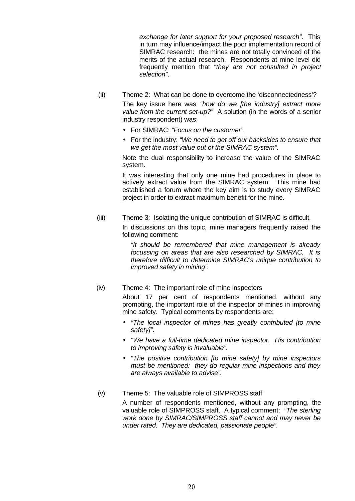*exchange for later support for your proposed research"*. This in turn may influence/impact the poor implementation record of SIMRAC research: the mines are not totally convinced of the merits of the actual research. Respondents at mine level did frequently mention that *"they are not consulted in project selection"*.

- (ii) Theme 2: What can be done to overcome the 'disconnectedness'? The key issue here was *"how do we [the industry] extract more value from the current set-up?"* A solution (in the words of a senior industry respondent) was:
	- For SIMRAC: *"Focus on the customer"*.
	- For the industry: *"We need to get off our backsides to ensure that we get the most value out of the SIMRAC system"*.

Note the dual responsibility to increase the value of the SIMRAC system.

It was interesting that only one mine had procedures in place to actively extract value from the SIMRAC system. This mine had established a forum where the key aim is to study every SIMRAC project in order to extract maximum benefit for the mine.

(iii) Theme 3: Isolating the unique contribution of SIMRAC is difficult.

In discussions on this topic, mine managers frequently raised the following comment:

*"It should be remembered that mine management is already focussing on areas that are also researched by SIMRAC. It is therefore difficult to determine SIMRAC's unique contribution to improved safety in mining".*

(iv) Theme 4: The important role of mine inspectors

About 17 per cent of respondents mentioned, without any prompting, the important role of the inspector of mines in improving mine safety. Typical comments by respondents are:

- *"The local inspector of mines has greatly contributed [to mine safety]".*
- *"We have a full-time dedicated mine inspector. His contribution to improving safety is invaluable".*
- *"The positive contribution [to mine safety] by mine inspectors must be mentioned: they do regular mine inspections and they are always available to advise".*
- (v) Theme 5: The valuable role of SIMPROSS staff A number of respondents mentioned, without any prompting, the valuable role of SIMPROSS staff. A typical comment: *"The sterling work done by SIMRAC/SIMPROSS staff cannot and may never be under rated. They are dedicated, passionate people"*.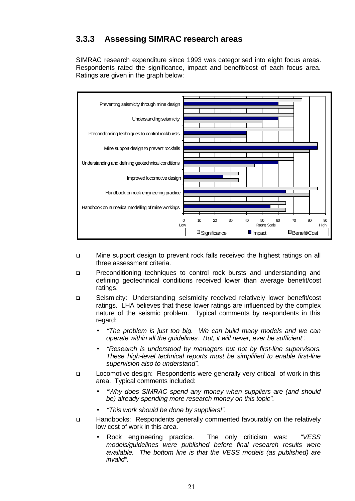### **3.3.3 Assessing SIMRAC research areas**

SIMRAC research expenditure since 1993 was categorised into eight focus areas. Respondents rated the significance, impact and benefit/cost of each focus area. Ratings are given in the graph below:



- q Mine support design to prevent rock falls received the highest ratings on all three assessment criteria.
- p Preconditioning techniques to control rock bursts and understanding and defining geotechnical conditions received lower than average benefit/cost ratings.
- q Seismicity: Understanding seismicity received relatively lower benefit/cost ratings. LHA believes that these lower ratings are influenced by the complex nature of the seismic problem. Typical comments by respondents in this regard:
	- *"The problem is just too big. We can build many models and we can operate within all the guidelines. But, it will never, ever be sufficient".*
	- *"Research is understood by managers but not by first-line supervisors. These high-level technical reports must be simplified to enable first-line supervision also to understand".*
- □ Locomotive design: Respondents were generally very critical of work in this area. Typical comments included:
	- *"Why does SIMRAC spend any money when suppliers are (and should be) already spending more research money on this topic".*
	- *"This work should be done by suppliers!".*
- q Handbooks: Respondents generally commented favourably on the relatively low cost of work in this area.
	- Rock engineering practice. The only criticism was: *"VESS models/guidelines were published before final research results were available. The bottom line is that the VESS models (as published) are invalid".*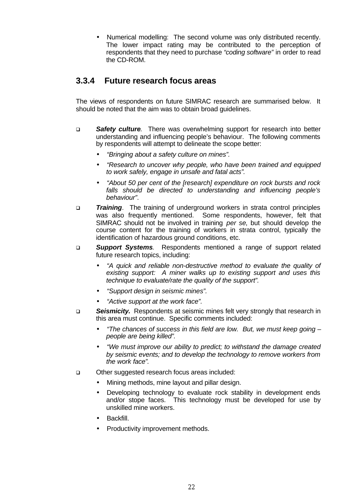• Numerical modelling: The second volume was only distributed recently. The lower impact rating may be contributed to the perception of respondents that they need to purchase *"coding software"* in order to read the CD-ROM.

### **3.3.4 Future research focus areas**

The views of respondents on future SIMRAC research are summarised below. It should be noted that the aim was to obtain broad guidelines.

- q *Safety culture*. There was overwhelming support for research into better understanding and influencing people's behaviour. The following comments by respondents will attempt to delineate the scope better:
	- *"Bringing about a safety culture on mines".*
	- *"Research to uncover why people, who have been trained and equipped to work safely, engage in unsafe and fatal acts".*
	- *"About 50 per cent of the [research] expenditure on rock bursts and rock falls should be directed to understanding and influencing people's behaviour"*.
- **Training**. The training of underground workers in strata control principles was also frequently mentioned. Some respondents, however, felt that SIMRAC should not be involved in training *per se*, but should develop the course content for the training of workers in strata control, typically the identification of hazardous ground conditions, etc.
- q *Support Systems*. Respondents mentioned a range of support related future research topics, including:
	- *"A quick and reliable non-destructive method to evaluate the quality of existing support: A miner walks up to existing support and uses this technique to evaluate/rate the quality of the support".*
	- *"Support design in seismic mines".*
	- *"Active support at the work face".*
- q *Seismicity.* Respondents at seismic mines felt very strongly that research in this area must continue. Specific comments included:
	- *"The chances of success in this field are low. But, we must keep going – people are being killed".*
	- *"We must improve our ability to predict; to withstand the damage created by seismic events; and to develop the technology to remove workers from the work face".*
- q Other suggested research focus areas included:
	- Mining methods, mine layout and pillar design.
	- Developing technology to evaluate rock stability in development ends and/or stope faces. This technology must be developed for use by unskilled mine workers.
	- Backfill.
	- Productivity improvement methods.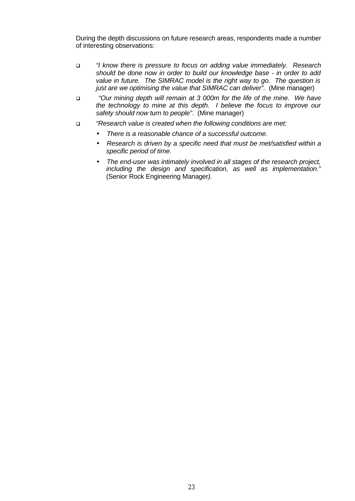During the depth discussions on future research areas, respondents made a number of interesting observations:

- q *"I know there is pressure to focus on adding value immediately. Research should be done now in order to build our knowledge base - in order to add value in future. The SIMRAC model is the right way to go. The question is just are we optimising the value that SIMRAC can deliver".* (Mine manager)
- q *"Our mining depth will remain at 3 000m for the life of the mine. We have the technology to mine at this depth. I believe the focus to improve our safety should now turn to people"*. (Mine manager)
- q *"Research value is created when the following conditions are met:*
	- *There is a reasonable chance of a successful outcome.*
	- *Research is driven by a specific need that must be met/satisfied within a specific period of time.*
	- *The end-user was intimately involved in all stages of the research project, including the design and specification, as well as implementation."* (Senior Rock Engineering Manager*).*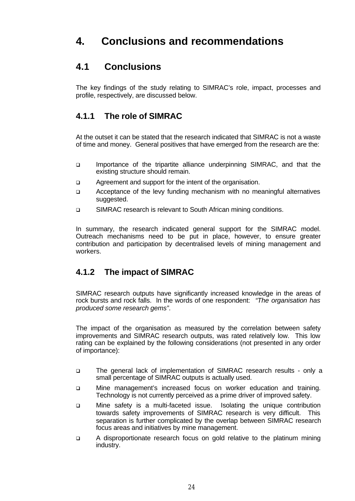## **4. Conclusions and recommendations**

### **4.1 Conclusions**

The key findings of the study relating to SIMRAC's role, impact, processes and profile, respectively, are discussed below.

### **4.1.1 The role of SIMRAC**

At the outset it can be stated that the research indicated that SIMRAC is not a waste of time and money. General positives that have emerged from the research are the:

- q Importance of the tripartite alliance underpinning SIMRAC, and that the existing structure should remain.
- **q** Agreement and support for the intent of the organisation.
- q Acceptance of the levy funding mechanism with no meaningful alternatives suggested.
- q SIMRAC research is relevant to South African mining conditions.

In summary, the research indicated general support for the SIMRAC model. Outreach mechanisms need to be put in place, however, to ensure greater contribution and participation by decentralised levels of mining management and workers.

### **4.1.2 The impact of SIMRAC**

SIMRAC research outputs have significantly increased knowledge in the areas of rock bursts and rock falls. In the words of one respondent: *"The organisation has produced some research gems"*.

The impact of the organisation as measured by the correlation between safety improvements and SIMRAC research outputs, was rated relatively low. This low rating can be explained by the following considerations (not presented in any order of importance):

- q The general lack of implementation of SIMRAC research results only a small percentage of SIMRAC outputs is actually used.
- q Mine management's increased focus on worker education and training. Technology is not currently perceived as a prime driver of improved safety.
- q Mine safety is a multi-faceted issue. Isolating the unique contribution towards safety improvements of SIMRAC research is very difficult. This separation is further complicated by the overlap between SIMRAC research focus areas and initiatives by mine management.
- q A disproportionate research focus on gold relative to the platinum mining industry.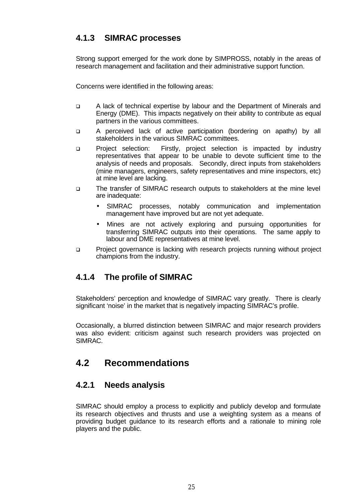### **4.1.3 SIMRAC processes**

Strong support emerged for the work done by SIMPROSS, notably in the areas of research management and facilitation and their administrative support function.

Concerns were identified in the following areas:

- q A lack of technical expertise by labour and the Department of Minerals and Energy (DME). This impacts negatively on their ability to contribute as equal partners in the various committees.
- q A perceived lack of active participation (bordering on apathy) by all stakeholders in the various SIMRAC committees.
- q Project selection: Firstly, project selection is impacted by industry representatives that appear to be unable to devote sufficient time to the analysis of needs and proposals. Secondly, direct inputs from stakeholders (mine managers, engineers, safety representatives and mine inspectors, etc) at mine level are lacking.
- q The transfer of SIMRAC research outputs to stakeholders at the mine level are inadequate:
	- SIMRAC processes, notably communication and implementation management have improved but are not yet adequate.
	- Mines are not actively exploring and pursuing opportunities for transferring SIMRAC outputs into their operations. The same apply to labour and DME representatives at mine level.
- q Project governance is lacking with research projects running without project champions from the industry.

### **4.1.4 The profile of SIMRAC**

Stakeholders' perception and knowledge of SIMRAC vary greatly. There is clearly significant 'noise' in the market that is negatively impacting SIMRAC's profile.

Occasionally, a blurred distinction between SIMRAC and major research providers was also evident: criticism against such research providers was projected on SIMRAC.

### **4.2 Recommendations**

### **4.2.1 Needs analysis**

SIMRAC should employ a process to explicitly and publicly develop and formulate its research objectives and thrusts and use a weighting system as a means of providing budget guidance to its research efforts and a rationale to mining role players and the public.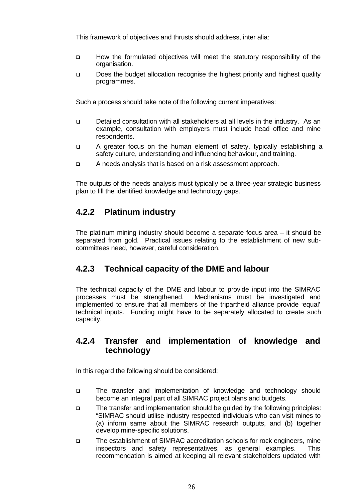This framework of objectives and thrusts should address, inter alia:

- q How the formulated objectives will meet the statutory responsibility of the organisation.
- □ Does the budget allocation recognise the highest priority and highest quality programmes.

Such a process should take note of the following current imperatives:

- q Detailed consultation with all stakeholders at all levels in the industry. As an example, consultation with employers must include head office and mine respondents.
- q A greater focus on the human element of safety, typically establishing a safety culture, understanding and influencing behaviour, and training.
- q A needs analysis that is based on a risk assessment approach.

The outputs of the needs analysis must typically be a three-year strategic business plan to fill the identified knowledge and technology gaps.

### **4.2.2 Platinum industry**

The platinum mining industry should become a separate focus area – it should be separated from gold. Practical issues relating to the establishment of new subcommittees need, however, careful consideration.

### **4.2.3 Technical capacity of the DME and labour**

The technical capacity of the DME and labour to provide input into the SIMRAC processes must be strengthened. Mechanisms must be investigated and implemented to ensure that all members of the tripartheid alliance provide 'equal' technical inputs. Funding might have to be separately allocated to create such capacity.

### **4.2.4 Transfer and implementation of knowledge and technology**

In this regard the following should be considered:

- q The transfer and implementation of knowledge and technology should become an integral part of all SIMRAC project plans and budgets.
- q The transfer and implementation should be guided by the following principles: "SIMRAC should utilise industry respected individuals who can visit mines to (a) inform same about the SIMRAC research outputs, and (b) together develop mine-specific solutions.
- q The establishment of SIMRAC accreditation schools for rock engineers, mine inspectors and safety representatives, as general examples. This recommendation is aimed at keeping all relevant stakeholders updated with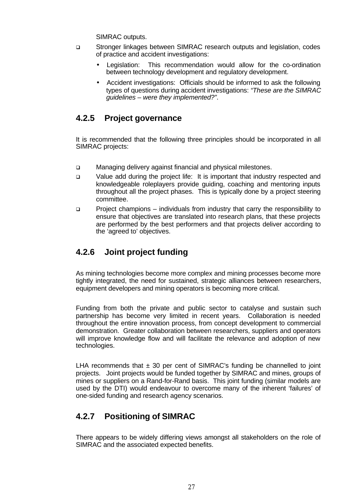SIMRAC outputs.

- q Stronger linkages between SIMRAC research outputs and legislation, codes of practice and accident investigations:
	- Legislation: This recommendation would allow for the co-ordination between technology development and regulatory development.
	- Accident investigations: Officials should be informed to ask the following types of questions during accident investigations: *"These are the SIMRAC guidelines – were they implemented?"*.

### **4.2.5 Project governance**

It is recommended that the following three principles should be incorporated in all SIMRAC projects:

- q Managing delivery against financial and physical milestones.
- q Value add during the project life: It is important that industry respected and knowledgeable roleplayers provide guiding, coaching and mentoring inputs throughout all the project phases. This is typically done by a project steering committee.
- q Project champions individuals from industry that carry the responsibility to ensure that objectives are translated into research plans, that these projects are performed by the best performers and that projects deliver according to the 'agreed to' objectives.

### **4.2.6 Joint project funding**

As mining technologies become more complex and mining processes become more tightly integrated, the need for sustained, strategic alliances between researchers, equipment developers and mining operators is becoming more critical.

Funding from both the private and public sector to catalyse and sustain such partnership has become very limited in recent years. Collaboration is needed throughout the entire innovation process, from concept development to commercial demonstration. Greater collaboration between researchers, suppliers and operators will improve knowledge flow and will facilitate the relevance and adoption of new technologies.

LHA recommends that  $\pm$  30 per cent of SIMRAC's funding be channelled to joint projects. Joint projects would be funded together by SIMRAC and mines, groups of mines or suppliers on a Rand-for-Rand basis. This joint funding (similar models are used by the DTI) would endeavour to overcome many of the inherent 'failures' of one-sided funding and research agency scenarios.

### **4.2.7 Positioning of SIMRAC**

There appears to be widely differing views amongst all stakeholders on the role of SIMRAC and the associated expected benefits.